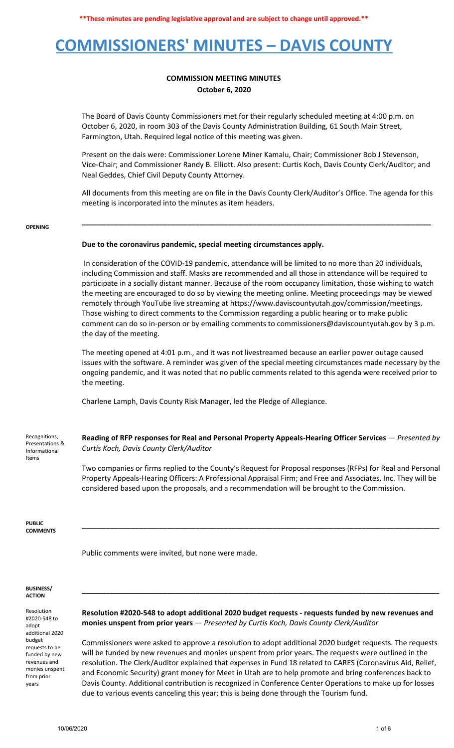## **COMMISSIONERS' MINUTES – DAVIS COUNTY**

### **COMMISSION MEETING MINUTES October 6, 2020**

The Board of Davis County Commissioners met for their regularly scheduled meeting at 4:00 p.m. on October 6, 2020, in room 303 of the Davis County Administration Building, 61 South Main Street, Farmington, Utah. Required legal notice of this meeting was given.

Present on the dais were: Commissioner Lorene Miner Kamalu, Chair; Commissioner Bob J Stevenson, Vice-Chair; and Commissioner Randy B. Elliott. Also present: Curtis Koch, Davis County Clerk/Auditor; and Neal Geddes, Chief Civil Deputy County Attorney.

All documents from this meeting are on file in the Davis County Clerk/Auditor's Office. The agenda for this meeting is incorporated into the minutes as item headers.

**\_\_\_\_\_\_\_\_\_\_\_\_\_\_\_\_\_\_\_\_\_\_\_\_\_\_\_\_\_\_\_\_\_\_\_\_\_\_\_\_\_\_\_\_\_\_\_\_\_\_\_\_\_\_\_\_\_\_\_\_\_\_\_\_\_\_\_\_\_\_\_\_\_\_\_\_\_\_\_\_\_\_\_\_\_\_**

#### **OPENING**

### **Due to the coronavirus pandemic, special meeting circumstances apply.**

In consideration of the COVID-19 pandemic, attendance will be limited to no more than 20 individuals, including Commission and staff. Masks are recommended and all those in attendance will be required to participate in a socially distant manner. Because of the room occupancy limitation, those wishing to watch the meeting are encouraged to do so by viewing the meeting online. Meeting proceedings may be viewed remotely through YouTube live streaming at https://www.daviscountyutah.gov/commission/meetings. Those wishing to direct comments to the Commission regarding a public hearing or to make public comment can do so in-person or by emailing comments to commissioners@daviscountyutah.gov by 3 p.m. the day of the meeting.

The meeting opened at 4:01 p.m., and it was not livestreamed because an earlier power outage caused issues with the software. A reminder was given of the special meeting circumstances made necessary by the ongoing pandemic, and it was noted that no public comments related to this agenda were received prior to the meeting.

Charlene Lamph, Davis County Risk Manager, led the Pledge of Allegiance.

Recognitions, Presentations & Informational Items

**Reading of RFP responses for Real and Personal Property Appeals-Hearing Officer Services** — *Presented by Curtis Koch, Davis County Clerk/Auditor*

Two companies or firms replied to the County's Request for Proposal responses (RFPs) for Real and Personal Property Appeals-Hearing Officers: A Professional Appraisal Firm; and Free and Associates, Inc. They will be considered based upon the proposals, and a recommendation will be brought to the Commission.

**\_\_\_\_\_\_\_\_\_\_\_\_\_\_\_\_\_\_\_\_\_\_\_\_\_\_\_\_\_\_\_\_\_\_\_\_\_\_\_\_\_\_\_\_\_\_\_\_\_\_\_\_\_\_\_\_\_\_\_\_\_\_\_\_\_\_\_\_\_\_\_\_\_\_\_\_\_\_\_\_\_\_\_\_\_\_\_\_**

**PUBLIC COMMENTS**

Public comments were invited, but none were made.

#### **BUSINESS/ ACTION**

Resolution #2020-548 to adopt additional 2020 budget requests to be funded by new revenues and monies unspent from prior years

**Resolution #2020-548 to adopt additional 2020 budget requests - requests funded by new revenues and monies unspent from prior years** — *Presented by Curtis Koch, Davis County Clerk/Auditor*

**\_\_\_\_\_\_\_\_\_\_\_\_\_\_\_\_\_\_\_\_\_\_\_\_\_\_\_\_\_\_\_\_\_\_\_\_\_\_\_\_\_\_\_\_\_\_\_\_\_\_\_\_\_\_\_\_\_\_\_\_\_\_\_\_\_\_\_\_\_\_\_\_\_\_\_\_\_\_\_\_\_\_\_\_\_\_\_\_**

Commissioners were asked to approve a resolution to adopt additional 2020 budget requests. The requests will be funded by new revenues and monies unspent from prior years. The requests were outlined in the resolution. The Clerk/Auditor explained that expenses in Fund 18 related to CARES (Coronavirus Aid, Relief, and Economic Security) grant money for Meet in Utah are to help promote and bring conferences back to Davis County. Additional contribution is recognized in Conference Center Operations to make up for losses due to various events canceling this year; this is being done through the Tourism fund.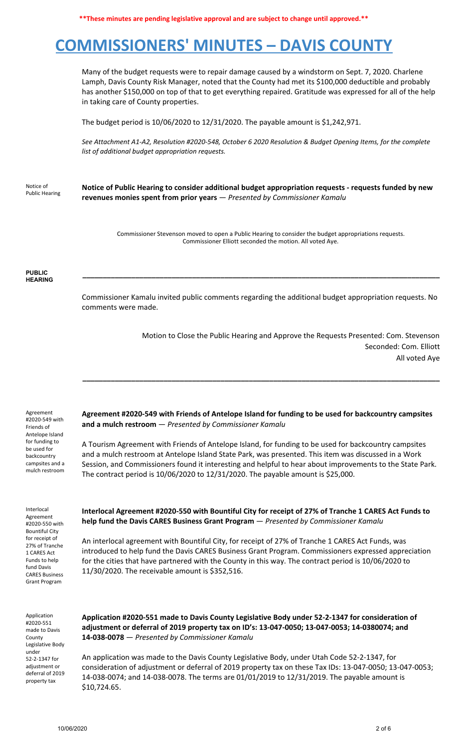**\*\*These minutes are pending legislative approval and are subject to change until approved.\*\***

## **COMMISSIONERS' MINUTES – DAVIS COUNTY**

Many of the budget requests were to repair damage caused by a windstorm on Sept. 7, 2020. Charlene Lamph, Davis County Risk Manager, noted that the County had met its \$100,000 deductible and probably has another \$150,000 on top of that to get everything repaired. Gratitude was expressed for all of the help in taking care of County properties.

The budget period is 10/06/2020 to 12/31/2020. The payable amount is \$1,242,971.

*See Attachment A1-A2, Resolution #2020-548, October 6 2020 Resolution & Budget Opening Items, for the complete list of additional budget appropriation requests.*

Notice of Public Hearing **Notice of Public Hearing to consider additional budget appropriation requests - requests funded by new revenues monies spent from prior years** — *Presented by Commissioner Kamalu*

> Commissioner Stevenson moved to open a Public Hearing to consider the budget appropriations requests. Commissioner Elliott seconded the motion. All voted Aye.

**\_\_\_\_\_\_\_\_\_\_\_\_\_\_\_\_\_\_\_\_\_\_\_\_\_\_\_\_\_\_\_\_\_\_\_\_\_\_\_\_\_\_\_\_\_\_\_\_\_\_\_\_\_\_\_\_\_\_\_\_\_\_\_\_\_\_\_\_\_\_\_\_\_\_\_\_\_\_\_\_\_\_\_\_\_\_\_\_**

#### **PUBLIC HEARING**

Commissioner Kamalu invited public comments regarding the additional budget appropriation requests. No comments were made.

> Motion to Close the Public Hearing and Approve the Requests Presented: Com. Stevenson Seconded: Com. Elliott All voted Aye

Agreement #2020-549 with Friends of Antelope Island for funding to be used for backcountry campsites and a mulch restroom

Interlocal Agreement #2020-550 with Bountiful City for receipt of 27% of Tranche 1 CARES Act Funds to help fund Davis CARES Business Grant Program

**Agreement #2020-549 with Friends of Antelope Island for funding to be used for backcountry campsites and a mulch restroom** — *Presented by Commissioner Kamalu*

**\_\_\_\_\_\_\_\_\_\_\_\_\_\_\_\_\_\_\_\_\_\_\_\_\_\_\_\_\_\_\_\_\_\_\_\_\_\_\_\_\_\_\_\_\_\_\_\_\_\_\_\_\_\_\_\_\_\_\_\_\_\_\_\_\_\_\_\_\_\_\_\_\_\_\_\_\_\_\_\_\_\_\_\_\_\_\_\_**

A Tourism Agreement with Friends of Antelope Island, for funding to be used for backcountry campsites and a mulch restroom at Antelope Island State Park, was presented. This item was discussed in a Work Session, and Commissioners found it interesting and helpful to hear about improvements to the State Park. The contract period is 10/06/2020 to 12/31/2020. The payable amount is \$25,000.

**Interlocal Agreement #2020-550 with Bountiful City for receipt of 27% of Tranche 1 CARES Act Funds to help fund the Davis CARES Business Grant Program** — *Presented by Commissioner Kamalu*

An interlocal agreement with Bountiful City, for receipt of 27% of Tranche 1 CARES Act Funds, was introduced to help fund the Davis CARES Business Grant Program. Commissioners expressed appreciation for the cities that have partnered with the County in this way. The contract period is 10/06/2020 to 11/30/2020. The receivable amount is \$352,516.

Application #2020-551 made to Davis County Legislative Body under 52-2-1347 for adjustment or deferral of 2019 property tax

**Application #2020-551 made to Davis County Legislative Body under 52-2-1347 for consideration of adjustment or deferral of 2019 property tax on ID's: 13-047-0050; 13-047-0053; 14-0380074; and 14-038-0078** — *Presented by Commissioner Kamalu*

An application was made to the Davis County Legislative Body, under Utah Code 52-2-1347, for consideration of adjustment or deferral of 2019 property tax on these Tax IDs: 13-047-0050; 13-047-0053; 14-038-0074; and 14-038-0078. The terms are 01/01/2019 to 12/31/2019. The payable amount is \$10,724.65.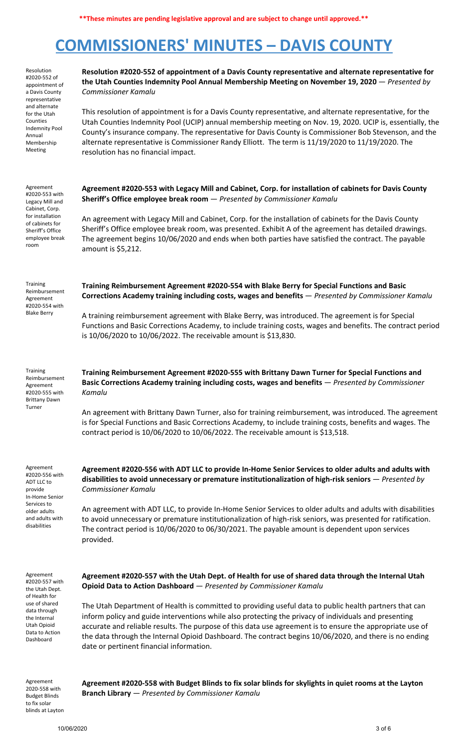# **COMMISSIONERS' MINUTES – DAVIS COUNTY**

| Resolution<br>#2020-552 of<br>appointment of<br>a Davis County<br>representative                                                                              | Resolution #2020-552 of appointment of a Davis County representative and alternate representative for<br>the Utah Counties Indemnity Pool Annual Membership Meeting on November 19, 2020 - Presented by<br><b>Commissioner Kamalu</b>                                                                                                                                                                                                                                              |  |  |
|---------------------------------------------------------------------------------------------------------------------------------------------------------------|------------------------------------------------------------------------------------------------------------------------------------------------------------------------------------------------------------------------------------------------------------------------------------------------------------------------------------------------------------------------------------------------------------------------------------------------------------------------------------|--|--|
| and alternate<br>for the Utah<br>Counties<br><b>Indemnity Pool</b><br>Annual<br>Membership<br>Meeting                                                         | This resolution of appointment is for a Davis County representative, and alternate representative, for the<br>Utah Counties Indemnity Pool (UCIP) annual membership meeting on Nov. 19, 2020. UCIP is, essentially, the<br>County's insurance company. The representative for Davis County is Commissioner Bob Stevenson, and the<br>alternate representative is Commissioner Randy Elliott. The term is 11/19/2020 to 11/19/2020. The<br>resolution has no financial impact.      |  |  |
| Agreement<br>#2020-553 with<br>Legacy Mill and<br>Cabinet, Corp.<br>for installation<br>of cabinets for                                                       | Agreement #2020-553 with Legacy Mill and Cabinet, Corp. for installation of cabinets for Davis County<br>Sheriff's Office employee break room - Presented by Commissioner Kamalu<br>An agreement with Legacy Mill and Cabinet, Corp. for the installation of cabinets for the Davis County                                                                                                                                                                                         |  |  |
| Sheriff's Office<br>employee break<br>room                                                                                                                    | Sheriff's Office employee break room, was presented. Exhibit A of the agreement has detailed drawings.<br>The agreement begins 10/06/2020 and ends when both parties have satisfied the contract. The payable<br>amount is \$5,212.                                                                                                                                                                                                                                                |  |  |
| Training<br>Reimbursement<br>Agreement<br>#2020-554 with<br><b>Blake Berry</b>                                                                                | Training Reimbursement Agreement #2020-554 with Blake Berry for Special Functions and Basic<br>Corrections Academy training including costs, wages and benefits - Presented by Commissioner Kamalu                                                                                                                                                                                                                                                                                 |  |  |
|                                                                                                                                                               | A training reimbursement agreement with Blake Berry, was introduced. The agreement is for Special<br>Functions and Basic Corrections Academy, to include training costs, wages and benefits. The contract period<br>is 10/06/2020 to 10/06/2022. The receivable amount is \$13,830.                                                                                                                                                                                                |  |  |
| <b>Training</b><br>Reimbursement<br>Agreement<br>#2020-555 with<br><b>Brittany Dawn</b>                                                                       | Training Reimbursement Agreement #2020-555 with Brittany Dawn Turner for Special Functions and<br>Basic Corrections Academy training including costs, wages and benefits - Presented by Commissioner<br>Kamalu                                                                                                                                                                                                                                                                     |  |  |
| Turner                                                                                                                                                        | An agreement with Brittany Dawn Turner, also for training reimbursement, was introduced. The agreement<br>is for Special Functions and Basic Corrections Academy, to include training costs, benefits and wages. The<br>contract period is 10/06/2020 to 10/06/2022. The receivable amount is \$13,518.                                                                                                                                                                            |  |  |
| Agreement<br>#2020-556 with<br>ADT LLC to<br>provide<br>In-Home Senior                                                                                        | Agreement #2020-556 with ADT LLC to provide In-Home Senior Services to older adults and adults with<br>disabilities to avoid unnecessary or premature institutionalization of high-risk seniors $-$ Presented by<br><b>Commissioner Kamalu</b>                                                                                                                                                                                                                                     |  |  |
| Services to<br>older adults<br>and adults with<br>disabilities                                                                                                | An agreement with ADT LLC, to provide In-Home Senior Services to older adults and adults with disabilities<br>to avoid unnecessary or premature institutionalization of high-risk seniors, was presented for ratification.<br>The contract period is 10/06/2020 to 06/30/2021. The payable amount is dependent upon services<br>provided.                                                                                                                                          |  |  |
| Agreement<br>#2020-557 with<br>the Utah Dept.<br>of Health for<br>use of shared<br>data through<br>the Internal<br>Utah Opioid<br>Data to Action<br>Dashboard | Agreement #2020-557 with the Utah Dept. of Health for use of shared data through the Internal Utah<br>Opioid Data to Action Dashboard - Presented by Commissioner Kamalu                                                                                                                                                                                                                                                                                                           |  |  |
|                                                                                                                                                               | The Utah Department of Health is committed to providing useful data to public health partners that can<br>inform policy and guide interventions while also protecting the privacy of individuals and presenting<br>accurate and reliable results. The purpose of this data use agreement is to ensure the appropriate use of<br>the data through the Internal Opioid Dashboard. The contract begins 10/06/2020, and there is no ending<br>date or pertinent financial information. |  |  |
|                                                                                                                                                               |                                                                                                                                                                                                                                                                                                                                                                                                                                                                                    |  |  |

Agreement 2020-558 with Budget Blinds to fix solar blinds at Layton **Agreement #2020-558 with Budget Blinds to fix solar blinds for skylights in quiet rooms at the Layton Branch Library** — *Presented by Commissioner Kamalu*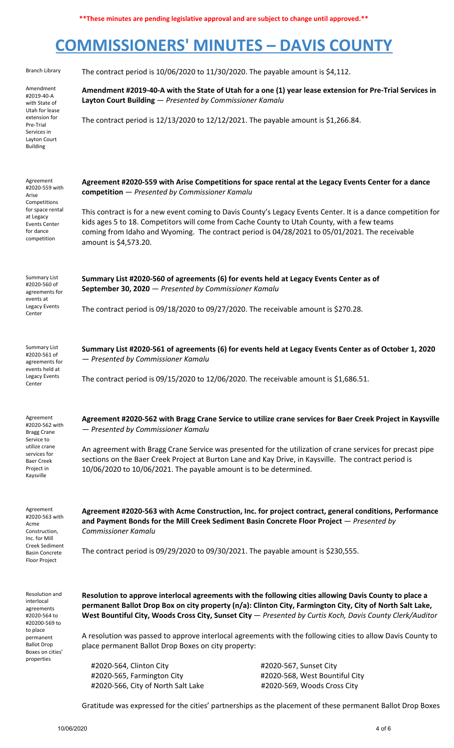**\*\*These minutes are pending legislative approval and are subject to change until approved.\*\***

# **COMMISSIONERS' MINUTES – DAVIS COUNTY**

| <b>Branch Library</b>                                                                                                                                        | The contract period is $10/06/2020$ to $11/30/2020$ . The payable amount is \$4,112.                                                                                                                                                                                                                                                                                                                                                                                                                     |                                                                                                                                                                                                                          |  |  |
|--------------------------------------------------------------------------------------------------------------------------------------------------------------|----------------------------------------------------------------------------------------------------------------------------------------------------------------------------------------------------------------------------------------------------------------------------------------------------------------------------------------------------------------------------------------------------------------------------------------------------------------------------------------------------------|--------------------------------------------------------------------------------------------------------------------------------------------------------------------------------------------------------------------------|--|--|
| Amendment<br>#2019-40-A<br>with State of<br>Utah for lease<br>extension for<br>Pre-Trial<br>Services in<br>Layton Court<br><b>Building</b>                   | Layton Court Building - Presented by Commissioner Kamalu<br>The contract period is $12/13/2020$ to $12/12/2021$ . The payable amount is \$1,266.84.                                                                                                                                                                                                                                                                                                                                                      | Amendment #2019-40-A with the State of Utah for a one (1) year lease extension for Pre-Trial Services in                                                                                                                 |  |  |
| Agreement<br>#2020-559 with<br>Arise<br>Competitions<br>for space rental<br>at Legacy<br><b>Events Center</b><br>for dance<br>competition                    | Agreement #2020-559 with Arise Competitions for space rental at the Legacy Events Center for a dance<br>competition - Presented by Commissioner Kamalu<br>kids ages 5 to 18. Competitors will come from Cache County to Utah County, with a few teams<br>coming from Idaho and Wyoming. The contract period is 04/28/2021 to 05/01/2021. The receivable<br>amount is \$4,573.20.                                                                                                                         | This contract is for a new event coming to Davis County's Legacy Events Center. It is a dance competition for                                                                                                            |  |  |
| <b>Summary List</b><br>#2020-560 of<br>agreements for<br>events at<br>Legacy Events<br>Center                                                                | Summary List #2020-560 of agreements (6) for events held at Legacy Events Center as of<br>September 30, 2020 - Presented by Commissioner Kamalu<br>The contract period is 09/18/2020 to 09/27/2020. The receivable amount is \$270.28.                                                                                                                                                                                                                                                                   |                                                                                                                                                                                                                          |  |  |
| <b>Summary List</b><br>#2020-561 of<br>agreements for<br>events held at<br>Legacy Events<br>Center                                                           | - Presented by Commissioner Kamalu<br>The contract period is 09/15/2020 to 12/06/2020. The receivable amount is \$1,686.51.                                                                                                                                                                                                                                                                                                                                                                              | Summary List #2020-561 of agreements (6) for events held at Legacy Events Center as of October 1, 2020                                                                                                                   |  |  |
| Agreement<br>#2020-562 with<br><b>Bragg Crane</b><br>Service to<br>utilize crane<br>services for<br><b>Baer Creek</b><br>Project in<br>Kaysville             | - Presented by Commissioner Kamalu<br>sections on the Baer Creek Project at Burton Lane and Kay Drive, in Kaysville. The contract period is<br>10/06/2020 to 10/06/2021. The payable amount is to be determined.                                                                                                                                                                                                                                                                                         | Agreement #2020-562 with Bragg Crane Service to utilize crane services for Baer Creek Project in Kaysville<br>An agreement with Bragg Crane Service was presented for the utilization of crane services for precast pipe |  |  |
| Agreement<br>#2020-563 with<br>Acme<br>Construction,<br>Inc. for Mill<br><b>Creek Sediment</b><br><b>Basin Concrete</b><br>Floor Project                     | and Payment Bonds for the Mill Creek Sediment Basin Concrete Floor Project - Presented by<br><b>Commissioner Kamalu</b><br>The contract period is 09/29/2020 to 09/30/2021. The payable amount is \$230,555.                                                                                                                                                                                                                                                                                             | Agreement #2020-563 with Acme Construction, Inc. for project contract, general conditions, Performance                                                                                                                   |  |  |
| Resolution and<br>interlocal<br>agreements<br>#2020-564 to<br>#20200-569 to<br>to place<br>permanent<br><b>Ballot Drop</b><br>Boxes on cities'<br>properties | Resolution to approve interlocal agreements with the following cities allowing Davis County to place a<br>permanent Ballot Drop Box on city property (n/a): Clinton City, Farmington City, City of North Salt Lake,<br>West Bountiful City, Woods Cross City, Sunset City $-$ Presented by Curtis Koch, Davis County Clerk/Auditor<br>A resolution was passed to approve interlocal agreements with the following cities to allow Davis County to<br>place permanent Ballot Drop Boxes on city property: |                                                                                                                                                                                                                          |  |  |
|                                                                                                                                                              | #2020-564, Clinton City<br>#2020-565, Farmington City<br>#2020-566, City of North Salt Lake                                                                                                                                                                                                                                                                                                                                                                                                              | #2020-567, Sunset City<br>#2020-568, West Bountiful City<br>#2020-569, Woods Cross City<br>Gratitude was expressed for the cities' partnerships as the placement of these permanent Ballot Drop Boxes                    |  |  |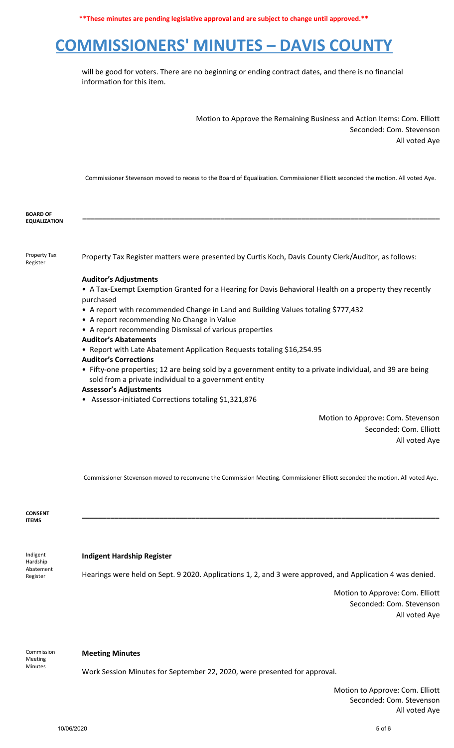**\*\*These minutes are pending legislative approval and are subject to change until approved.\*\***

# **COMMISSIONERS' MINUTES – DAVIS COUNTY**

will be good for voters. There are no beginning or ending contract dates, and there is no financial information for this item.

> Motion to Approve the Remaining Business and Action Items: Com. Elliott Seconded: Com. Stevenson All voted Aye

Commissioner Stevenson moved to recess to the Board of Equalization. Commissioner Elliott seconded the motion. All voted Aye.

**\_\_\_\_\_\_\_\_\_\_\_\_\_\_\_\_\_\_\_\_\_\_\_\_\_\_\_\_\_\_\_\_\_\_\_\_\_\_\_\_\_\_\_\_\_\_\_\_\_\_\_\_\_\_\_\_\_\_\_\_\_\_\_\_\_\_\_\_\_\_\_\_\_\_\_\_\_\_\_\_\_\_\_\_\_\_\_\_**

| <b>BOARD OF</b>     |
|---------------------|
| <b>EQUALIZATION</b> |

Property Tax Register

Property Tax Register matters were presented by Curtis Koch, Davis County Clerk/Auditor, as follows:

#### **Auditor's Adjustments**

• A Tax-Exempt Exemption Granted for a Hearing for Davis Behavioral Health on a property they recently purchased

- A report with recommended Change in Land and Building Values totaling \$777,432
- A report recommending No Change in Value
- A report recommending Dismissal of various properties
- **Auditor's Abatements**
- Report with Late Abatement Application Requests totaling \$16,254.95
- **Auditor's Corrections**

• Fifty-one properties; 12 are being sold by a government entity to a private individual, and 39 are being sold from a private individual to a government entity

- **Assessor's Adjustments**
- Assessor-initiated Corrections totaling \$1,321,876

Motion to Approve: Com. Stevenson Seconded: Com. Elliott All voted Aye

Commissioner Stevenson moved to reconvene the Commission Meeting. Commissioner Elliott seconded the motion. All voted Aye.

**\_\_\_\_\_\_\_\_\_\_\_\_\_\_\_\_\_\_\_\_\_\_\_\_\_\_\_\_\_\_\_\_\_\_\_\_\_\_\_\_\_\_\_\_\_\_\_\_\_\_\_\_\_\_\_\_\_\_\_\_\_\_\_\_\_\_\_\_\_\_\_\_\_\_\_\_\_\_\_\_\_\_\_\_\_\_\_\_**

**CONSENT ITEMS**

Abatement Register

#### Indigent Hardship **Indigent Hardship Register**

Hearings were held on Sept. 9 2020. Applications 1, 2, and 3 were approved, and Application 4 was denied.

Motion to Approve: Com. Elliott Seconded: Com. Stevenson All voted Aye

Commission Meeting Minutes

### **Meeting Minutes**

Work Session Minutes for September 22, 2020, were presented for approval.

Motion to Approve: Com. Elliott Seconded: Com. Stevenson All voted Aye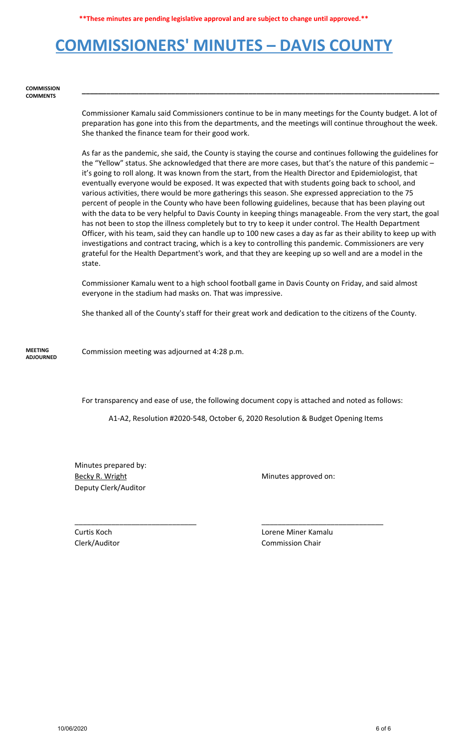# **COMMISSIONERS' MINUTES – DAVIS COUNTY**

#### **COMMISSION COMMENTS**

Commissioner Kamalu said Commissioners continue to be in many meetings for the County budget. A lot of preparation has gone into this from the departments, and the meetings will continue throughout the week. She thanked the finance team for their good work.

**\_\_\_\_\_\_\_\_\_\_\_\_\_\_\_\_\_\_\_\_\_\_\_\_\_\_\_\_\_\_\_\_\_\_\_\_\_\_\_\_\_\_\_\_\_\_\_\_\_\_\_\_\_\_\_\_\_\_\_\_\_\_\_\_\_\_\_\_\_\_\_\_\_\_\_\_\_\_\_\_\_\_\_\_\_\_\_\_**

As far as the pandemic, she said, the County is staying the course and continues following the guidelines for the "Yellow" status. She acknowledged that there are more cases, but that's the nature of this pandemic – it's going to roll along. It was known from the start, from the Health Director and Epidemiologist, that eventually everyone would be exposed. It was expected that with students going back to school, and various activities, there would be more gatherings this season. She expressed appreciation to the 75 percent of people in the County who have been following guidelines, because that has been playing out with the data to be very helpful to Davis County in keeping things manageable. From the very start, the goal has not been to stop the illness completely but to try to keep it under control. The Health Department Officer, with his team, said they can handle up to 100 new cases a day as far as their ability to keep up with investigations and contract tracing, which is a key to controlling this pandemic. Commissioners are very grateful for the Health Department's work, and that they are keeping up so well and are a model in the state.

Commissioner Kamalu went to a high school football game in Davis County on Friday, and said almost everyone in the stadium had masks on. That was impressive.

She thanked all of the County's staff for their great work and dedication to the citizens of the County.

**MEETING ADJOURNED** Commission meeting was adjourned at 4:28 p.m.

For transparency and ease of use, the following document copy is attached and noted as follows:

A1-A2, Resolution #2020-548, October 6, 2020 Resolution & Budget Opening Items

\_\_\_\_\_\_\_\_\_\_\_\_\_\_\_\_\_\_\_\_\_\_\_\_\_\_\_\_\_\_ \_\_\_\_\_\_\_\_\_\_\_\_\_\_\_\_\_\_\_\_\_\_\_\_\_\_\_\_\_\_

Minutes prepared by: Becky R. Wright Minutes approved on: Deputy Clerk/Auditor

Curtis Koch Lorene Miner Kamalu Clerk/Auditor Commission Chair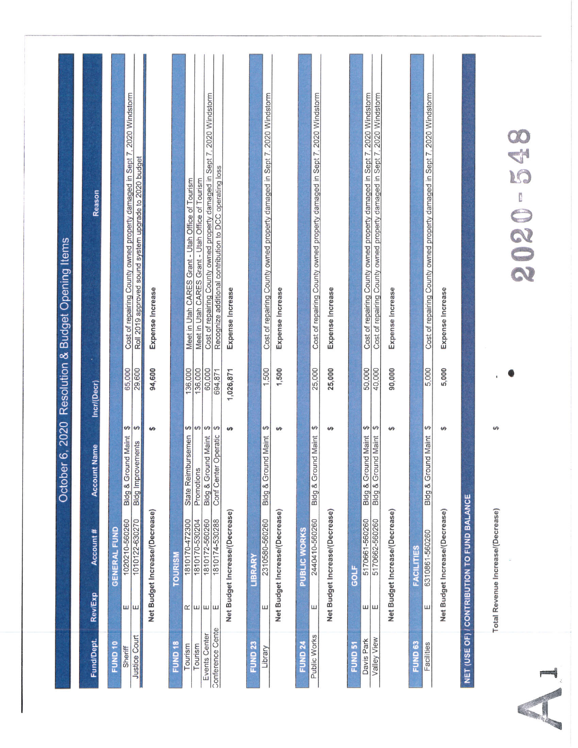|                                   |                          |                                             | Octob                                                                       |                   | er 6, 2020 Resolution & Budget Opening Items                                                                                         |
|-----------------------------------|--------------------------|---------------------------------------------|-----------------------------------------------------------------------------|-------------------|--------------------------------------------------------------------------------------------------------------------------------------|
| Fund/Dept.                        | Rev/Exp                  | Account #                                   | Account Name                                                                | Incr/(Decr)       | Reason                                                                                                                               |
| FUND <sub>10</sub>                |                          | <b>GENERAL FUND</b>                         |                                                                             |                   |                                                                                                                                      |
| <b>Justice Court</b><br>Sheriff   | ш<br>ш                   | 1020210-560260<br>1010122-630270            | ↮<br>$\theta$<br><b>Bldg &amp; Ground Maint</b><br><b>Bidg Improvements</b> | 65,000<br>29,600  | Cost of repairing County owned property damaged in Sept 7, 2020 Windstorm<br>Roll 2019 approved sound system upgrade to 2020 budget  |
|                                   |                          | Net Budget Increase/(Decrease)              | <b>Us</b>                                                                   | 94,600            | Expense Increase                                                                                                                     |
| FUND <sub>18</sub>                |                          | TOURISM                                     |                                                                             |                   |                                                                                                                                      |
| Tourism                           |                          | 1810170-472300                              | State Reimbursemen                                                          | 136,000           | Meet in Utah CARES Grant - Utah Office of Tourism                                                                                    |
| Tourism                           | $\alpha$   $\mu$   $\mu$ | 1810170-530204                              | $\theta$<br>Promotions                                                      | 136,000           | Meet in Utah CARES Grant - Utah Office of Tourism                                                                                    |
| Conference Cente<br>Events Center | ш                        | 1810172-560260<br>1810174-530288            | $\theta$<br>Conf Center Operatic<br>Bldg & Ground Maint                     | 60,000<br>694,871 | Cost of repairing County owned property damaged in Sept 7, 2020 Windstorm<br>Recognize additional contribution to DCC operating loss |
|                                   |                          | Net Budget Increase/(Decrease)              | <b>SA</b>                                                                   | 1,026,871         | Expense Increase                                                                                                                     |
| FUND <sub>23</sub>                |                          | <b>LIBRARY</b>                              |                                                                             |                   |                                                                                                                                      |
| Library                           | Ш                        | 2310580-560260                              | $\varphi$<br>Bldg & Ground Maint                                            | 1,500             | Cost of repairing County owned property damaged in Sept 7, 2020 Windstorm                                                            |
|                                   |                          | Net Budget Increase/(Decrease)              | 4                                                                           | 1,500             | Expense Increase                                                                                                                     |
| <b>FUND 24</b>                    |                          | PUBLIC WORKS                                |                                                                             |                   |                                                                                                                                      |
| Public Works                      | Ш                        | 2440410-560260                              | $\omega$<br><b>Bldg &amp; Ground Maint</b>                                  | 25,000            | Cost of repairing County owned property damaged in Sept 7, 2020 Windstorm                                                            |
|                                   |                          | Net Budget Increase/(Decrease)              | Ψł                                                                          | 25,000            | Expense Increase                                                                                                                     |
| FUND <sub>51</sub>                |                          | GOLF                                        |                                                                             |                   |                                                                                                                                      |
| Davis Park                        | ш ш                      | 5170661-560260                              | ↮<br><b>Bldg &amp; Ground Maint</b>                                         | 50,000            | Cost of repairing County owned property damaged in Sept 7, 2020 Windstorm                                                            |
| Valley View                       |                          | 5170662-560260                              | $\Theta$<br>Bldg & Ground Maint                                             | 40,000            | Cost of repairing County owned property damaged in Sept 7, 2020 Windstorm                                                            |
|                                   |                          | Net Budget Increase/(Decrease)              | $\theta$                                                                    | 90,000            | Expense Increase                                                                                                                     |
| FUND <sub>63</sub>                |                          | <b>FACILITIES</b>                           |                                                                             |                   |                                                                                                                                      |
| Facilities                        | ш                        | 6310861-560260                              | Ø<br>Bldg & Ground Maint                                                    | 5,000             | Cost of repairing County owned property damaged in Sept 7, 2020 Windstorm                                                            |
|                                   |                          | Net Budget Increase/(Decrease)              | ΨĤ                                                                          | 5,000             | Expense Increase                                                                                                                     |
|                                   |                          | NET (USE OF) / CONTRIBUTION TO FUND BALANCE |                                                                             |                   |                                                                                                                                      |
|                                   |                          | Total Revenue Increase/(Decrease)           | $\varphi$                                                                   |                   |                                                                                                                                      |
|                                   |                          |                                             |                                                                             |                   | 548<br>2020-                                                                                                                         |
|                                   |                          |                                             |                                                                             |                   |                                                                                                                                      |